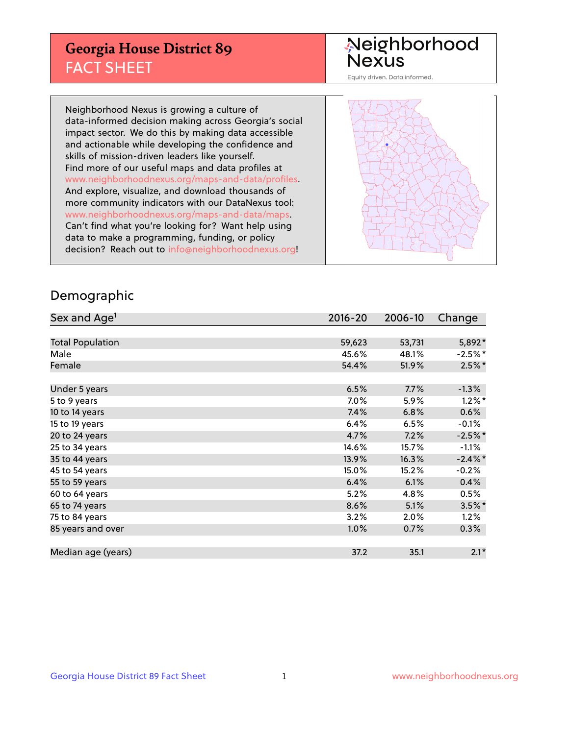## **Georgia House District 89** FACT SHEET

# Neighborhood<br>Nexus

Equity driven. Data informed.

Neighborhood Nexus is growing a culture of data-informed decision making across Georgia's social impact sector. We do this by making data accessible and actionable while developing the confidence and skills of mission-driven leaders like yourself. Find more of our useful maps and data profiles at www.neighborhoodnexus.org/maps-and-data/profiles. And explore, visualize, and download thousands of more community indicators with our DataNexus tool: www.neighborhoodnexus.org/maps-and-data/maps. Can't find what you're looking for? Want help using data to make a programming, funding, or policy decision? Reach out to [info@neighborhoodnexus.org!](mailto:info@neighborhoodnexus.org)



### Demographic

| Sex and Age <sup>1</sup> | $2016 - 20$ | 2006-10 | Change     |
|--------------------------|-------------|---------|------------|
|                          |             |         |            |
| <b>Total Population</b>  | 59,623      | 53,731  | 5,892*     |
| Male                     | 45.6%       | 48.1%   | $-2.5%$ *  |
| Female                   | 54.4%       | 51.9%   | $2.5\%$ *  |
|                          |             |         |            |
| Under 5 years            | 6.5%        | 7.7%    | $-1.3%$    |
| 5 to 9 years             | $7.0\%$     | 5.9%    | $1.2\%$ *  |
| 10 to 14 years           | 7.4%        | 6.8%    | 0.6%       |
| 15 to 19 years           | 6.4%        | 6.5%    | $-0.1%$    |
| 20 to 24 years           | 4.7%        | 7.2%    | $-2.5%$ *  |
| 25 to 34 years           | 14.6%       | 15.7%   | $-1.1%$    |
| 35 to 44 years           | 13.9%       | 16.3%   | $-2.4\%$ * |
| 45 to 54 years           | 15.0%       | 15.2%   | $-0.2%$    |
| 55 to 59 years           | 6.4%        | 6.1%    | 0.4%       |
| 60 to 64 years           | 5.2%        | 4.8%    | 0.5%       |
| 65 to 74 years           | 8.6%        | 5.1%    | $3.5%$ *   |
| 75 to 84 years           | 3.2%        | 2.0%    | 1.2%       |
| 85 years and over        | 1.0%        | 0.7%    | 0.3%       |
|                          |             |         |            |
| Median age (years)       | 37.2        | 35.1    | $2.1*$     |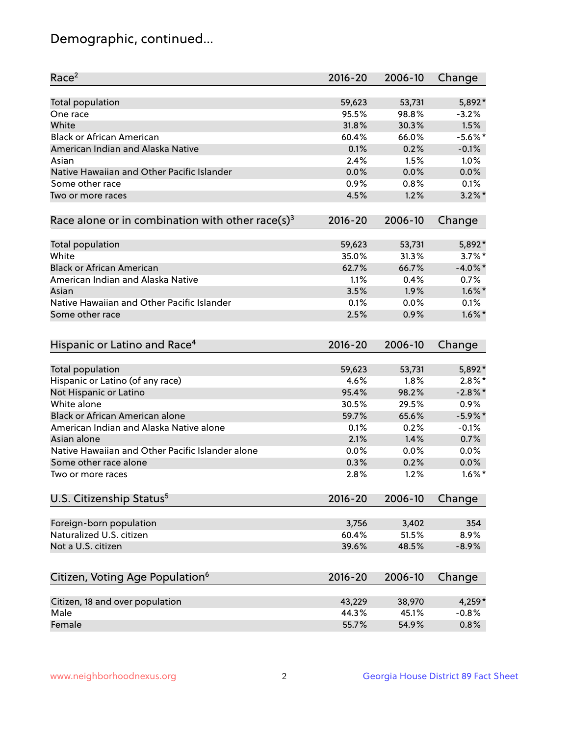## Demographic, continued...

| Race <sup>2</sup>                                            | $2016 - 20$ | 2006-10 | Change     |
|--------------------------------------------------------------|-------------|---------|------------|
| <b>Total population</b>                                      | 59,623      | 53,731  | 5,892*     |
| One race                                                     | 95.5%       | 98.8%   | $-3.2%$    |
| White                                                        | 31.8%       | 30.3%   | 1.5%       |
| <b>Black or African American</b>                             | 60.4%       | 66.0%   | $-5.6\%$ * |
| American Indian and Alaska Native                            | 0.1%        | 0.2%    | $-0.1%$    |
| Asian                                                        | 2.4%        | 1.5%    | 1.0%       |
| Native Hawaiian and Other Pacific Islander                   | 0.0%        | 0.0%    | 0.0%       |
| Some other race                                              | 0.9%        | 0.8%    | 0.1%       |
| Two or more races                                            | 4.5%        | 1.2%    | $3.2\%$ *  |
| Race alone or in combination with other race(s) <sup>3</sup> | $2016 - 20$ | 2006-10 | Change     |
| Total population                                             | 59,623      | 53,731  | 5,892*     |
| White                                                        | 35.0%       | 31.3%   | $3.7\%$ *  |
| <b>Black or African American</b>                             | 62.7%       | 66.7%   | $-4.0\%$ * |
| American Indian and Alaska Native                            | 1.1%        | 0.4%    | 0.7%       |
| Asian                                                        | 3.5%        | 1.9%    | $1.6\%$ *  |
| Native Hawaiian and Other Pacific Islander                   | 0.1%        | 0.0%    | 0.1%       |
| Some other race                                              | 2.5%        | 0.9%    | $1.6\%$ *  |
| Hispanic or Latino and Race <sup>4</sup>                     | $2016 - 20$ | 2006-10 | Change     |
| <b>Total population</b>                                      | 59,623      | 53,731  | 5,892*     |
| Hispanic or Latino (of any race)                             | 4.6%        | 1.8%    | $2.8\%$ *  |
| Not Hispanic or Latino                                       | 95.4%       | 98.2%   | $-2.8\%$ * |
| White alone                                                  | 30.5%       | 29.5%   | 0.9%       |
| <b>Black or African American alone</b>                       | 59.7%       | 65.6%   | $-5.9\%$ * |
| American Indian and Alaska Native alone                      | 0.1%        | 0.2%    | $-0.1%$    |
| Asian alone                                                  | 2.1%        | 1.4%    | 0.7%       |
| Native Hawaiian and Other Pacific Islander alone             | 0.0%        | 0.0%    | 0.0%       |
| Some other race alone                                        | 0.3%        | 0.2%    | 0.0%       |
| Two or more races                                            | 2.8%        | 1.2%    | $1.6\%$ *  |
| U.S. Citizenship Status <sup>5</sup>                         | 2016-20     | 2006-10 | Change     |
| Foreign-born population                                      | 3,756       | 3,402   | 354        |
| Naturalized U.S. citizen                                     | 60.4%       | 51.5%   | 8.9%       |
| Not a U.S. citizen                                           | 39.6%       | 48.5%   | $-8.9%$    |
|                                                              |             |         |            |
| Citizen, Voting Age Population <sup>6</sup>                  | $2016 - 20$ | 2006-10 | Change     |
| Citizen, 18 and over population                              | 43,229      | 38,970  | $4,259*$   |
| Male                                                         | 44.3%       | 45.1%   | $-0.8%$    |
| Female                                                       | 55.7%       | 54.9%   | 0.8%       |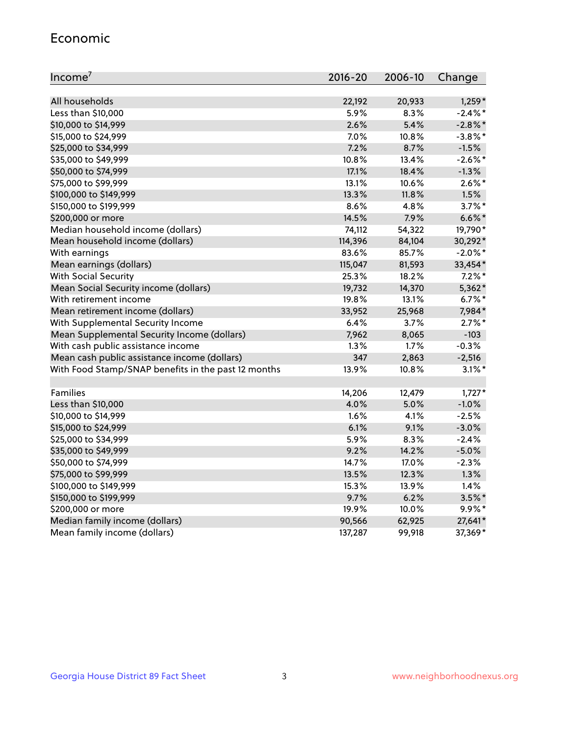#### Economic

| Income <sup>7</sup>                                 | $2016 - 20$ | 2006-10 | Change     |
|-----------------------------------------------------|-------------|---------|------------|
|                                                     |             |         |            |
| All households                                      | 22,192      | 20,933  | $1,259*$   |
| Less than \$10,000                                  | 5.9%        | 8.3%    | $-2.4\%$ * |
| \$10,000 to \$14,999                                | 2.6%        | 5.4%    | $-2.8\%$ * |
| \$15,000 to \$24,999                                | 7.0%        | 10.8%   | $-3.8\%$ * |
| \$25,000 to \$34,999                                | 7.2%        | 8.7%    | $-1.5%$    |
| \$35,000 to \$49,999                                | 10.8%       | 13.4%   | $-2.6\%$ * |
| \$50,000 to \$74,999                                | 17.1%       | 18.4%   | $-1.3%$    |
| \$75,000 to \$99,999                                | 13.1%       | 10.6%   | $2.6\%$ *  |
| \$100,000 to \$149,999                              | 13.3%       | 11.8%   | 1.5%       |
| \$150,000 to \$199,999                              | 8.6%        | 4.8%    | $3.7\%$ *  |
| \$200,000 or more                                   | 14.5%       | 7.9%    | $6.6\%$ *  |
| Median household income (dollars)                   | 74,112      | 54,322  | 19,790*    |
| Mean household income (dollars)                     | 114,396     | 84,104  | 30,292*    |
| With earnings                                       | 83.6%       | 85.7%   | $-2.0\%$ * |
| Mean earnings (dollars)                             | 115,047     | 81,593  | 33,454*    |
| <b>With Social Security</b>                         | 25.3%       | 18.2%   | $7.2\%$ *  |
| Mean Social Security income (dollars)               | 19,732      | 14,370  | 5,362*     |
| With retirement income                              | 19.8%       | 13.1%   | $6.7\%$ *  |
| Mean retirement income (dollars)                    | 33,952      | 25,968  | 7,984*     |
| With Supplemental Security Income                   | 6.4%        | $3.7\%$ | $2.7\%$ *  |
| Mean Supplemental Security Income (dollars)         | 7,962       | 8,065   | $-103$     |
| With cash public assistance income                  | 1.3%        | 1.7%    | $-0.3%$    |
| Mean cash public assistance income (dollars)        | 347         | 2,863   | $-2,516$   |
| With Food Stamp/SNAP benefits in the past 12 months | 13.9%       | 10.8%   | $3.1\%$ *  |
|                                                     |             |         |            |
| Families                                            | 14,206      | 12,479  | $1,727*$   |
| Less than \$10,000                                  | 4.0%        | 5.0%    | $-1.0%$    |
| \$10,000 to \$14,999                                | 1.6%        | 4.1%    | $-2.5%$    |
| \$15,000 to \$24,999                                | 6.1%        | 9.1%    | $-3.0%$    |
| \$25,000 to \$34,999                                | 5.9%        | 8.3%    | $-2.4%$    |
| \$35,000 to \$49,999                                | 9.2%        | 14.2%   | $-5.0%$    |
| \$50,000 to \$74,999                                | 14.7%       | 17.0%   | $-2.3%$    |
| \$75,000 to \$99,999                                | 13.5%       | 12.3%   | 1.3%       |
| \$100,000 to \$149,999                              | 15.3%       | 13.9%   | 1.4%       |
| \$150,000 to \$199,999                              | 9.7%        | 6.2%    | $3.5\%$ *  |
| \$200,000 or more                                   | 19.9%       | 10.0%   | $9.9\%$ *  |
| Median family income (dollars)                      | 90,566      | 62,925  | 27,641*    |
| Mean family income (dollars)                        | 137,287     | 99,918  | 37,369*    |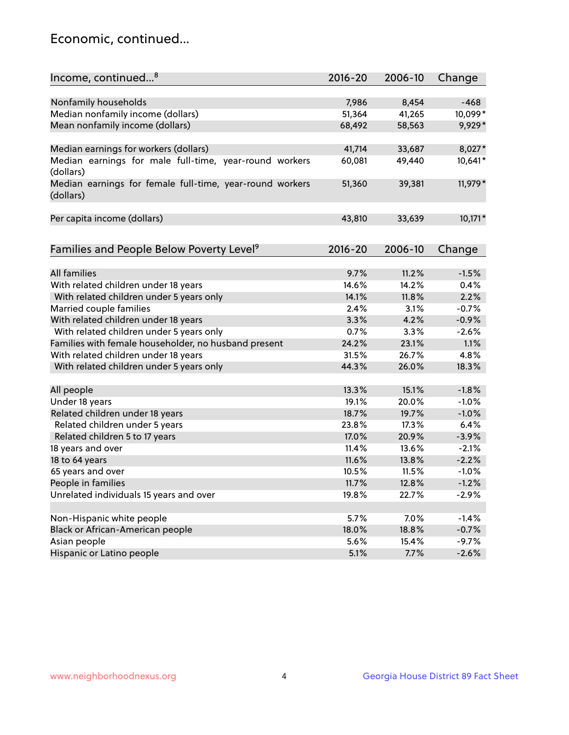## Economic, continued...

| Income, continued <sup>8</sup>                                        | $2016 - 20$ | 2006-10 | Change  |
|-----------------------------------------------------------------------|-------------|---------|---------|
|                                                                       |             |         |         |
| Nonfamily households                                                  | 7,986       | 8,454   | $-468$  |
| Median nonfamily income (dollars)                                     | 51,364      | 41,265  | 10,099* |
| Mean nonfamily income (dollars)                                       | 68,492      | 58,563  | 9,929*  |
| Median earnings for workers (dollars)                                 | 41,714      | 33,687  | 8,027*  |
| Median earnings for male full-time, year-round workers                | 60,081      | 49,440  | 10,641* |
| (dollars)                                                             |             |         |         |
| Median earnings for female full-time, year-round workers<br>(dollars) | 51,360      | 39,381  | 11,979* |
| Per capita income (dollars)                                           | 43,810      | 33,639  | 10,171* |
|                                                                       |             |         |         |
| Families and People Below Poverty Level <sup>9</sup>                  | 2016-20     | 2006-10 | Change  |
|                                                                       |             |         |         |
| <b>All families</b>                                                   | 9.7%        | 11.2%   | $-1.5%$ |
| With related children under 18 years                                  | 14.6%       | 14.2%   | 0.4%    |
| With related children under 5 years only                              | 14.1%       | 11.8%   | 2.2%    |
| Married couple families                                               | 2.4%        | 3.1%    | $-0.7%$ |
| With related children under 18 years                                  | 3.3%        | 4.2%    | $-0.9%$ |
| With related children under 5 years only                              | 0.7%        | 3.3%    | $-2.6%$ |
| Families with female householder, no husband present                  | 24.2%       | 23.1%   | 1.1%    |
| With related children under 18 years                                  | 31.5%       | 26.7%   | 4.8%    |
| With related children under 5 years only                              | 44.3%       | 26.0%   | 18.3%   |
| All people                                                            | 13.3%       | 15.1%   | $-1.8%$ |
| Under 18 years                                                        | 19.1%       | 20.0%   | $-1.0%$ |
| Related children under 18 years                                       | 18.7%       | 19.7%   | $-1.0%$ |
| Related children under 5 years                                        | 23.8%       | 17.3%   | 6.4%    |
| Related children 5 to 17 years                                        | 17.0%       | 20.9%   | $-3.9%$ |
| 18 years and over                                                     | 11.4%       | 13.6%   | $-2.1%$ |
| 18 to 64 years                                                        | 11.6%       | 13.8%   | $-2.2%$ |
| 65 years and over                                                     | 10.5%       | 11.5%   | $-1.0%$ |
| People in families                                                    | 11.7%       | 12.8%   | $-1.2%$ |
| Unrelated individuals 15 years and over                               | 19.8%       | 22.7%   | $-2.9%$ |
|                                                                       |             |         |         |
| Non-Hispanic white people                                             | 5.7%        | 7.0%    | $-1.4%$ |
| Black or African-American people                                      | 18.0%       | 18.8%   | $-0.7%$ |
| Asian people                                                          | 5.6%        | 15.4%   | $-9.7%$ |
| Hispanic or Latino people                                             | 5.1%        | 7.7%    | $-2.6%$ |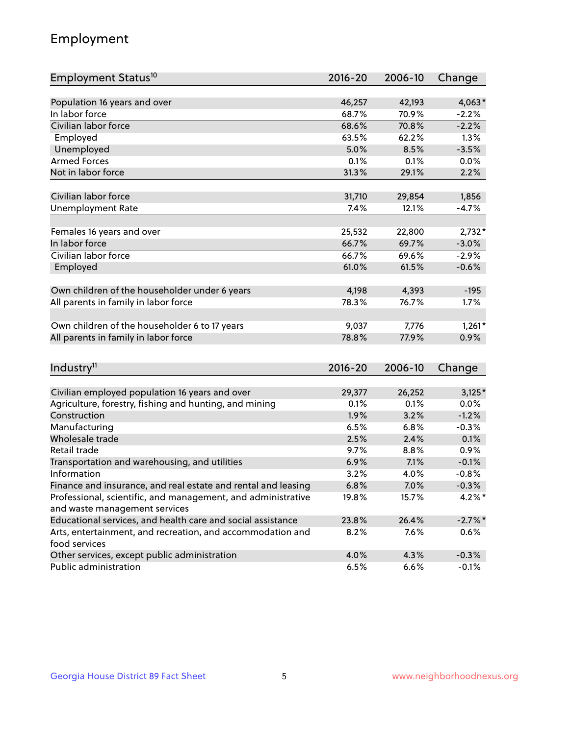## Employment

| Employment Status <sup>10</sup>                                                               | $2016 - 20$  | 2006-10 | Change     |
|-----------------------------------------------------------------------------------------------|--------------|---------|------------|
|                                                                                               |              |         |            |
| Population 16 years and over                                                                  | 46,257       | 42,193  | $4,063*$   |
| In labor force                                                                                | 68.7%        | 70.9%   | $-2.2%$    |
| Civilian labor force                                                                          | 68.6%        | 70.8%   | $-2.2%$    |
| Employed                                                                                      | 63.5%        | 62.2%   | 1.3%       |
| Unemployed                                                                                    | 5.0%         | 8.5%    | $-3.5%$    |
| <b>Armed Forces</b>                                                                           | 0.1%         | 0.1%    | 0.0%       |
| Not in labor force                                                                            | 31.3%        | 29.1%   | 2.2%       |
|                                                                                               |              |         |            |
| Civilian labor force                                                                          | 31,710       | 29,854  | 1,856      |
| <b>Unemployment Rate</b>                                                                      | 7.4%         | 12.1%   | $-4.7%$    |
| Females 16 years and over                                                                     | 25,532       | 22,800  | $2,732*$   |
| In labor force                                                                                | 66.7%        | 69.7%   | $-3.0%$    |
| Civilian labor force                                                                          | 66.7%        | 69.6%   | $-2.9%$    |
| Employed                                                                                      | 61.0%        | 61.5%   | $-0.6%$    |
|                                                                                               |              |         |            |
| Own children of the householder under 6 years                                                 | 4,198        | 4,393   | $-195$     |
| All parents in family in labor force                                                          | 78.3%        | 76.7%   | 1.7%       |
|                                                                                               |              |         |            |
| Own children of the householder 6 to 17 years                                                 | 9,037        | 7,776   | $1,261*$   |
| All parents in family in labor force                                                          | 78.8%        | 77.9%   | 0.9%       |
|                                                                                               |              |         |            |
| Industry <sup>11</sup>                                                                        | $2016 - 20$  | 2006-10 | Change     |
|                                                                                               |              |         |            |
| Civilian employed population 16 years and over                                                | 29,377       | 26,252  | $3,125*$   |
| Agriculture, forestry, fishing and hunting, and mining                                        | 0.1%         | 0.1%    | 0.0%       |
| Construction                                                                                  | 1.9%         | 3.2%    | $-1.2%$    |
| Manufacturing<br>Wholesale trade                                                              | 6.5%         | 6.8%    | $-0.3%$    |
| Retail trade                                                                                  | 2.5%         | 2.4%    | 0.1%       |
|                                                                                               | 9.7%         | 8.8%    | 0.9%       |
| Transportation and warehousing, and utilities<br>Information                                  | 6.9%<br>3.2% | 7.1%    | $-0.1%$    |
|                                                                                               |              | 4.0%    | $-0.8%$    |
| Finance and insurance, and real estate and rental and leasing                                 | 6.8%         | 7.0%    | $-0.3%$    |
| Professional, scientific, and management, and administrative<br>and waste management services | 19.8%        | 15.7%   | $4.2\%$ *  |
| Educational services, and health care and social assistance                                   | 23.8%        | 26.4%   | $-2.7\%$ * |
| Arts, entertainment, and recreation, and accommodation and                                    | 8.2%         | 7.6%    | $0.6\%$    |
| food services                                                                                 |              |         |            |
| Other services, except public administration                                                  | 4.0%         | 4.3%    | $-0.3%$    |
| Public administration                                                                         | 6.5%         | 6.6%    | $-0.1%$    |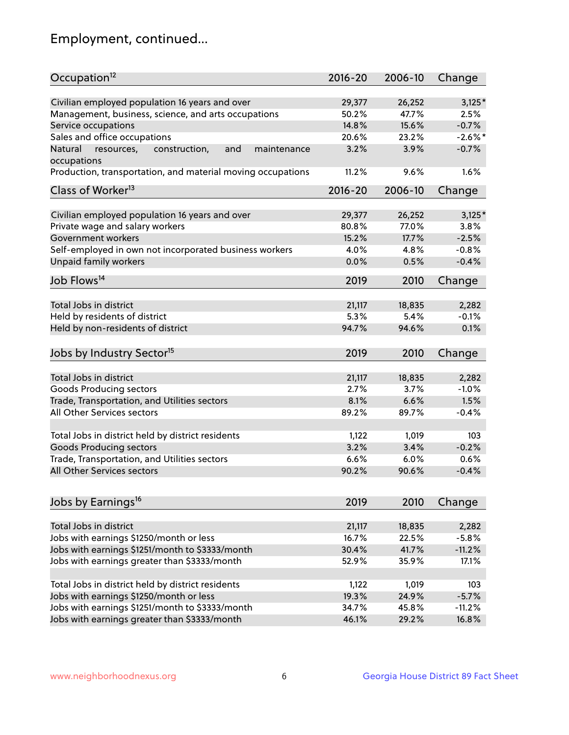## Employment, continued...

| Occupation <sup>12</sup>                                                    | $2016 - 20$     | 2006-10 | Change     |
|-----------------------------------------------------------------------------|-----------------|---------|------------|
| Civilian employed population 16 years and over                              |                 | 26,252  | $3,125*$   |
|                                                                             | 29,377<br>50.2% | 47.7%   | 2.5%       |
| Management, business, science, and arts occupations                         |                 |         |            |
| Service occupations                                                         | 14.8%           | 15.6%   | $-0.7%$    |
| Sales and office occupations                                                | 20.6%           | 23.2%   | $-2.6\%$ * |
| Natural<br>and<br>resources,<br>construction,<br>maintenance<br>occupations | 3.2%            | 3.9%    | $-0.7%$    |
| Production, transportation, and material moving occupations                 | 11.2%           | 9.6%    | 1.6%       |
| Class of Worker <sup>13</sup>                                               | 2016-20         | 2006-10 | Change     |
|                                                                             |                 |         |            |
| Civilian employed population 16 years and over                              | 29,377          | 26,252  | $3,125*$   |
| Private wage and salary workers                                             | 80.8%           | 77.0%   | 3.8%       |
| Government workers                                                          | 15.2%           | 17.7%   | $-2.5%$    |
| Self-employed in own not incorporated business workers                      | 4.0%            | 4.8%    | $-0.8%$    |
| <b>Unpaid family workers</b>                                                | 0.0%            | 0.5%    | $-0.4%$    |
| Job Flows <sup>14</sup>                                                     | 2019            | 2010    | Change     |
|                                                                             |                 |         |            |
| Total Jobs in district                                                      | 21,117          | 18,835  | 2,282      |
| Held by residents of district                                               | 5.3%            | 5.4%    | $-0.1%$    |
| Held by non-residents of district                                           | 94.7%           | 94.6%   | 0.1%       |
| Jobs by Industry Sector <sup>15</sup>                                       | 2019            | 2010    | Change     |
|                                                                             |                 |         |            |
| Total Jobs in district                                                      | 21,117          | 18,835  | 2,282      |
| Goods Producing sectors                                                     | 2.7%            | 3.7%    | $-1.0%$    |
| Trade, Transportation, and Utilities sectors                                | 8.1%            | 6.6%    | 1.5%       |
| All Other Services sectors                                                  | 89.2%           | 89.7%   | $-0.4%$    |
|                                                                             |                 |         |            |
| Total Jobs in district held by district residents                           | 1,122           | 1,019   | 103        |
| <b>Goods Producing sectors</b>                                              | 3.2%            | 3.4%    | $-0.2%$    |
| Trade, Transportation, and Utilities sectors                                | 6.6%            | 6.0%    | 0.6%       |
| All Other Services sectors                                                  | 90.2%           | 90.6%   | $-0.4%$    |
|                                                                             |                 |         |            |
| Jobs by Earnings <sup>16</sup>                                              | 2019            | 2010    | Change     |
|                                                                             |                 |         |            |
| Total Jobs in district                                                      | 21,117          | 18,835  | 2,282      |
| Jobs with earnings \$1250/month or less                                     | 16.7%           | 22.5%   | $-5.8%$    |
| Jobs with earnings \$1251/month to \$3333/month                             | 30.4%           | 41.7%   | $-11.2%$   |
| Jobs with earnings greater than \$3333/month                                | 52.9%           | 35.9%   | 17.1%      |
| Total Jobs in district held by district residents                           | 1,122           | 1,019   | 103        |
| Jobs with earnings \$1250/month or less                                     | 19.3%           | 24.9%   | $-5.7%$    |
| Jobs with earnings \$1251/month to \$3333/month                             |                 |         |            |
|                                                                             | 34.7%           | 45.8%   | $-11.2%$   |
| Jobs with earnings greater than \$3333/month                                | 46.1%           | 29.2%   | 16.8%      |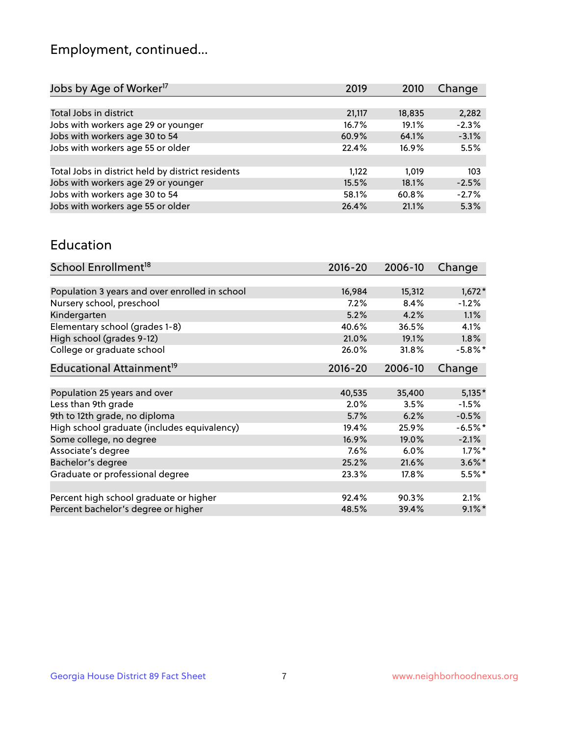## Employment, continued...

| Jobs by Age of Worker <sup>17</sup>               | 2019   | 2010   | Change  |
|---------------------------------------------------|--------|--------|---------|
|                                                   |        |        |         |
| Total Jobs in district                            | 21,117 | 18,835 | 2,282   |
| Jobs with workers age 29 or younger               | 16.7%  | 19.1%  | $-2.3%$ |
| Jobs with workers age 30 to 54                    | 60.9%  | 64.1%  | $-3.1%$ |
| Jobs with workers age 55 or older                 | 22.4%  | 16.9%  | 5.5%    |
|                                                   |        |        |         |
| Total Jobs in district held by district residents | 1.122  | 1.019  | 103     |
| Jobs with workers age 29 or younger               | 15.5%  | 18.1%  | $-2.5%$ |
| Jobs with workers age 30 to 54                    | 58.1%  | 60.8%  | $-2.7%$ |
| Jobs with workers age 55 or older                 | 26.4%  | 21.1%  | 5.3%    |
|                                                   |        |        |         |

#### Education

| School Enrollment <sup>18</sup>                | $2016 - 20$ | 2006-10 | Change     |
|------------------------------------------------|-------------|---------|------------|
|                                                |             |         |            |
| Population 3 years and over enrolled in school | 16,984      | 15,312  | $1,672*$   |
| Nursery school, preschool                      | 7.2%        | 8.4%    | $-1.2%$    |
| Kindergarten                                   | 5.2%        | 4.2%    | 1.1%       |
| Elementary school (grades 1-8)                 | 40.6%       | 36.5%   | 4.1%       |
| High school (grades 9-12)                      | 21.0%       | 19.1%   | $1.8\%$    |
| College or graduate school                     | 26.0%       | 31.8%   | $-5.8\%$ * |
| Educational Attainment <sup>19</sup>           | $2016 - 20$ | 2006-10 | Change     |
|                                                |             |         |            |
| Population 25 years and over                   | 40,535      | 35,400  | $5,135*$   |
| Less than 9th grade                            | 2.0%        | 3.5%    | $-1.5%$    |
| 9th to 12th grade, no diploma                  | 5.7%        | 6.2%    | $-0.5%$    |
| High school graduate (includes equivalency)    | 19.4%       | 25.9%   | $-6.5\%$ * |
| Some college, no degree                        | 16.9%       | 19.0%   | $-2.1%$    |
| Associate's degree                             | 7.6%        | 6.0%    | $1.7\%$ *  |
| Bachelor's degree                              | 25.2%       | 21.6%   | $3.6\%$ *  |
| Graduate or professional degree                | 23.3%       | 17.8%   | 5.5%*      |
|                                                |             |         |            |
| Percent high school graduate or higher         | 92.4%       | 90.3%   | 2.1%       |
| Percent bachelor's degree or higher            | 48.5%       | 39.4%   | $9.1\%$ *  |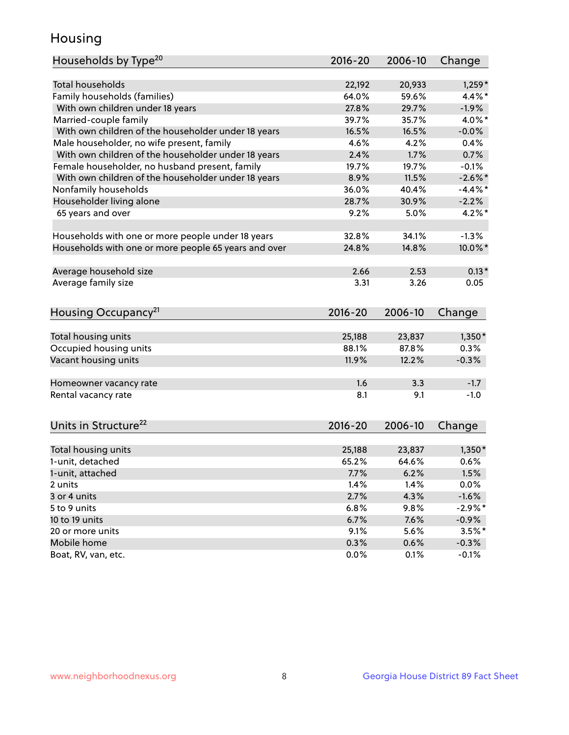## Housing

| Households by Type <sup>20</sup>                     | 2016-20 | 2006-10 | Change     |
|------------------------------------------------------|---------|---------|------------|
|                                                      |         |         |            |
| <b>Total households</b>                              | 22,192  | 20,933  | $1,259*$   |
| Family households (families)                         | 64.0%   | 59.6%   | $4.4\%$ *  |
| With own children under 18 years                     | 27.8%   | 29.7%   | $-1.9%$    |
| Married-couple family                                | 39.7%   | 35.7%   | 4.0%*      |
| With own children of the householder under 18 years  | 16.5%   | 16.5%   | $-0.0%$    |
| Male householder, no wife present, family            | 4.6%    | 4.2%    | 0.4%       |
| With own children of the householder under 18 years  | 2.4%    | 1.7%    | 0.7%       |
| Female householder, no husband present, family       | 19.7%   | 19.7%   | $-0.1%$    |
| With own children of the householder under 18 years  | 8.9%    | 11.5%   | $-2.6\%$ * |
| Nonfamily households                                 | 36.0%   | 40.4%   | $-4.4\%$ * |
| Householder living alone                             | 28.7%   | 30.9%   | $-2.2%$    |
| 65 years and over                                    | 9.2%    | 5.0%    | $4.2\%$ *  |
|                                                      |         |         |            |
| Households with one or more people under 18 years    | 32.8%   | 34.1%   | $-1.3%$    |
| Households with one or more people 65 years and over | 24.8%   | 14.8%   | 10.0%*     |
|                                                      |         |         |            |
| Average household size                               | 2.66    | 2.53    | $0.13*$    |
| Average family size                                  | 3.31    | 3.26    | 0.05       |
|                                                      |         |         |            |
| Housing Occupancy <sup>21</sup>                      | 2016-20 | 2006-10 | Change     |
|                                                      |         |         |            |
| Total housing units                                  | 25,188  | 23,837  | $1,350*$   |
| Occupied housing units                               | 88.1%   | 87.8%   | 0.3%       |
| Vacant housing units                                 | 11.9%   | 12.2%   | $-0.3%$    |
|                                                      |         |         |            |
| Homeowner vacancy rate                               | 1.6     | 3.3     | $-1.7$     |
| Rental vacancy rate                                  | 8.1     | 9.1     | $-1.0$     |
|                                                      |         |         |            |
| Units in Structure <sup>22</sup>                     | 2016-20 | 2006-10 | Change     |
|                                                      |         |         |            |
| Total housing units                                  | 25,188  | 23,837  | $1,350*$   |
| 1-unit, detached                                     | 65.2%   | 64.6%   | 0.6%       |
| 1-unit, attached                                     | 7.7%    | 6.2%    | 1.5%       |
| 2 units                                              | 1.4%    | 1.4%    | 0.0%       |
| 3 or 4 units                                         | 2.7%    | 4.3%    | $-1.6%$    |
| 5 to 9 units                                         | 6.8%    | 9.8%    | $-2.9\%$ * |
| 10 to 19 units                                       | 6.7%    | 7.6%    | $-0.9\%$   |
| 20 or more units                                     | 9.1%    | 5.6%    | $3.5%$ *   |
| Mobile home                                          | 0.3%    | 0.6%    | $-0.3%$    |
| Boat, RV, van, etc.                                  | 0.0%    | 0.1%    | $-0.1%$    |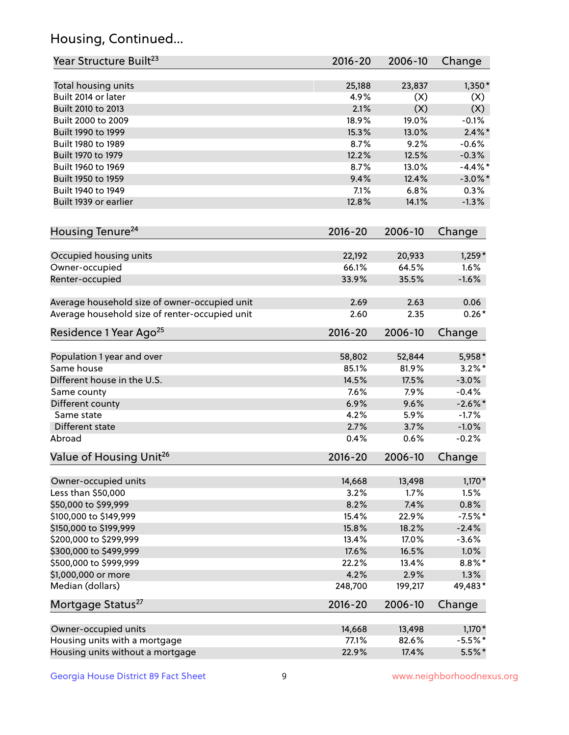## Housing, Continued...

| Year Structure Built <sup>23</sup>             | 2016-20     | 2006-10 | Change     |
|------------------------------------------------|-------------|---------|------------|
| Total housing units                            | 25,188      | 23,837  | $1,350*$   |
| Built 2014 or later                            | 4.9%        | (X)     | (X)        |
| Built 2010 to 2013                             | 2.1%        | (X)     | (X)        |
| Built 2000 to 2009                             | 18.9%       | 19.0%   | $-0.1%$    |
| Built 1990 to 1999                             | 15.3%       | 13.0%   | $2.4\%$ *  |
| Built 1980 to 1989                             | 8.7%        | 9.2%    | $-0.6%$    |
| Built 1970 to 1979                             | 12.2%       | 12.5%   | $-0.3%$    |
| Built 1960 to 1969                             | 8.7%        | 13.0%   | $-4.4\%$ * |
| Built 1950 to 1959                             | 9.4%        | 12.4%   | $-3.0\%$ * |
| Built 1940 to 1949                             | 7.1%        | 6.8%    | 0.3%       |
| Built 1939 or earlier                          | 12.8%       | 14.1%   | $-1.3%$    |
| Housing Tenure <sup>24</sup>                   | $2016 - 20$ | 2006-10 | Change     |
|                                                |             |         |            |
| Occupied housing units                         | 22,192      | 20,933  | $1,259*$   |
| Owner-occupied                                 | 66.1%       | 64.5%   | 1.6%       |
| Renter-occupied                                | 33.9%       | 35.5%   | $-1.6%$    |
| Average household size of owner-occupied unit  | 2.69        | 2.63    | 0.06       |
| Average household size of renter-occupied unit | 2.60        | 2.35    | $0.26*$    |
| Residence 1 Year Ago <sup>25</sup>             | $2016 - 20$ | 2006-10 | Change     |
| Population 1 year and over                     | 58,802      | 52,844  | 5,958*     |
| Same house                                     | 85.1%       | 81.9%   | $3.2\%$ *  |
| Different house in the U.S.                    | 14.5%       | 17.5%   | $-3.0%$    |
| Same county                                    | 7.6%        | 7.9%    | $-0.4%$    |
| Different county                               | 6.9%        | 9.6%    | $-2.6\%$ * |
| Same state                                     | 4.2%        | 5.9%    | $-1.7%$    |
| Different state                                | 2.7%        | 3.7%    | $-1.0%$    |
| Abroad                                         | 0.4%        | 0.6%    | $-0.2%$    |
| Value of Housing Unit <sup>26</sup>            | $2016 - 20$ | 2006-10 | Change     |
|                                                |             |         |            |
| Owner-occupied units                           | 14,668      | 13,498  | $1,170*$   |
| Less than \$50,000                             | 3.2%        | 1.7%    | 1.5%       |
| \$50,000 to \$99,999                           | 8.2%        | 7.4%    | 0.8%       |
| \$100,000 to \$149,999                         | 15.4%       | 22.9%   | $-7.5%$ *  |
| \$150,000 to \$199,999                         | 15.8%       | 18.2%   | $-2.4%$    |
| \$200,000 to \$299,999                         | 13.4%       | 17.0%   | $-3.6%$    |
| \$300,000 to \$499,999                         | 17.6%       | 16.5%   | 1.0%       |
| \$500,000 to \$999,999                         | 22.2%       | 13.4%   | $8.8\%$ *  |
| \$1,000,000 or more                            | 4.2%        | 2.9%    | 1.3%       |
| Median (dollars)                               | 248,700     | 199,217 | 49,483*    |
| Mortgage Status <sup>27</sup>                  | $2016 - 20$ | 2006-10 | Change     |
| Owner-occupied units                           | 14,668      | 13,498  | $1,170*$   |
| Housing units with a mortgage                  | 77.1%       | 82.6%   | $-5.5%$ *  |
| Housing units without a mortgage               | 22.9%       | 17.4%   | $5.5%$ *   |
|                                                |             |         |            |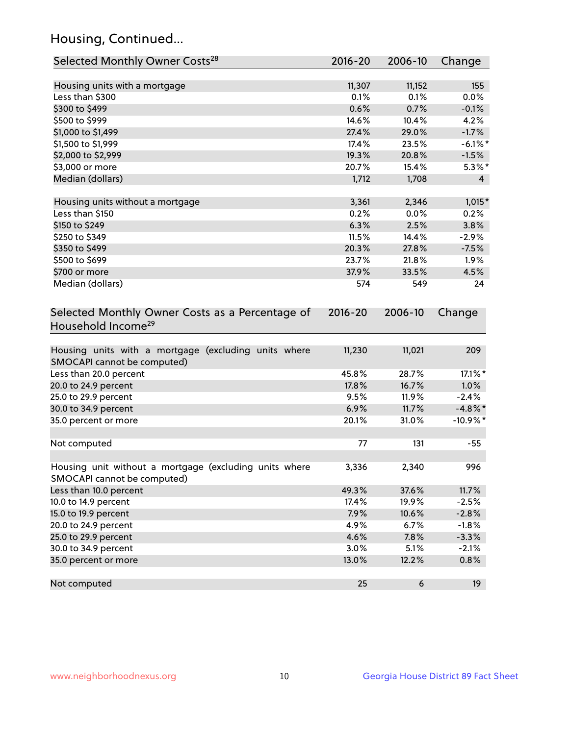## Housing, Continued...

| Selected Monthly Owner Costs <sup>28</sup>                                            | 2016-20 | 2006-10 | Change         |
|---------------------------------------------------------------------------------------|---------|---------|----------------|
| Housing units with a mortgage                                                         | 11,307  | 11,152  | 155            |
| Less than \$300                                                                       | 0.1%    | 0.1%    | 0.0%           |
| \$300 to \$499                                                                        | 0.6%    | 0.7%    | $-0.1%$        |
| \$500 to \$999                                                                        | 14.6%   | 10.4%   | 4.2%           |
| \$1,000 to \$1,499                                                                    | 27.4%   | 29.0%   | $-1.7%$        |
| \$1,500 to \$1,999                                                                    | 17.4%   | 23.5%   | $-6.1\%$ *     |
| \$2,000 to \$2,999                                                                    | 19.3%   | 20.8%   | $-1.5%$        |
| \$3,000 or more                                                                       | 20.7%   | 15.4%   | $5.3\%$ *      |
| Median (dollars)                                                                      | 1,712   | 1,708   | $\overline{4}$ |
| Housing units without a mortgage                                                      | 3,361   | 2,346   | 1,015*         |
| Less than \$150                                                                       | 0.2%    | 0.0%    | 0.2%           |
| \$150 to \$249                                                                        | 6.3%    | 2.5%    | 3.8%           |
| \$250 to \$349                                                                        | 11.5%   | 14.4%   | $-2.9%$        |
| \$350 to \$499                                                                        | 20.3%   | 27.8%   | $-7.5%$        |
| \$500 to \$699                                                                        | 23.7%   | 21.8%   | 1.9%           |
| \$700 or more                                                                         | 37.9%   | 33.5%   | 4.5%           |
| Median (dollars)                                                                      | 574     | 549     | 24             |
| Selected Monthly Owner Costs as a Percentage of<br>Household Income <sup>29</sup>     |         |         | Change         |
| Housing units with a mortgage (excluding units where<br>SMOCAPI cannot be computed)   | 11,230  | 11,021  | 209            |
| Less than 20.0 percent                                                                | 45.8%   | 28.7%   | 17.1%*         |
| 20.0 to 24.9 percent                                                                  | 17.8%   | 16.7%   | 1.0%           |
| 25.0 to 29.9 percent                                                                  | 9.5%    | 11.9%   | $-2.4%$        |
| 30.0 to 34.9 percent                                                                  | 6.9%    | 11.7%   | $-4.8\%$ *     |
| 35.0 percent or more                                                                  | 20.1%   | 31.0%   | $-10.9%$ *     |
| Not computed                                                                          | 77      | 131     | $-55$          |
| Housing unit without a mortgage (excluding units where<br>SMOCAPI cannot be computed) | 3,336   | 2,340   | 996            |
| Less than 10.0 percent                                                                | 49.3%   | 37.6%   | 11.7%          |
| 10.0 to 14.9 percent                                                                  | 17.4%   | 19.9%   | $-2.5%$        |
| 15.0 to 19.9 percent                                                                  | 7.9%    | 10.6%   | $-2.8%$        |
| 20.0 to 24.9 percent                                                                  | 4.9%    | 6.7%    | $-1.8%$        |
| 25.0 to 29.9 percent                                                                  | 4.6%    | 7.8%    | $-3.3%$        |
| 30.0 to 34.9 percent                                                                  | 3.0%    | 5.1%    | $-2.1%$        |
| 35.0 percent or more                                                                  | 13.0%   | 12.2%   | 0.8%           |
| Not computed                                                                          | 25      | 6       | 19             |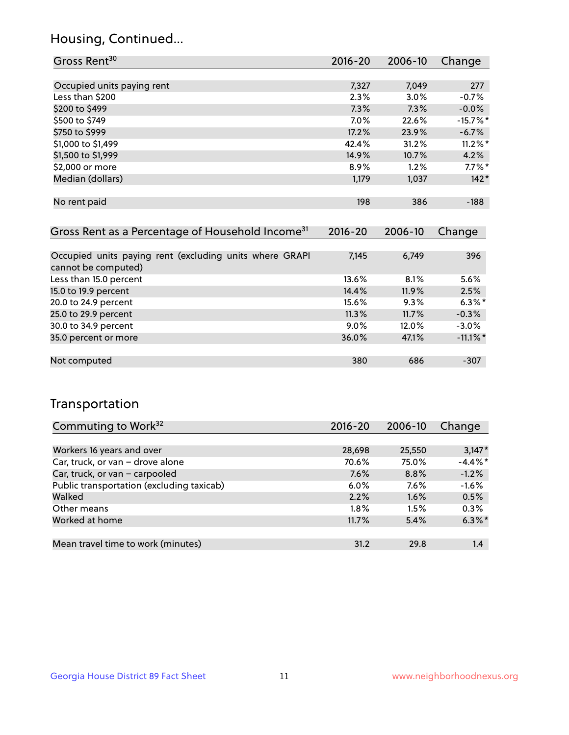## Housing, Continued...

| Gross Rent <sup>30</sup>   | 2016-20 | 2006-10 | Change      |
|----------------------------|---------|---------|-------------|
|                            |         |         |             |
| Occupied units paying rent | 7,327   | 7,049   | 277         |
| Less than \$200            | 2.3%    | 3.0%    | $-0.7%$     |
| \$200 to \$499             | 7.3%    | 7.3%    | $-0.0%$     |
| \$500 to \$749             | 7.0%    | 22.6%   | $-15.7\%$ * |
| \$750 to \$999             | 17.2%   | 23.9%   | $-6.7%$     |
| \$1,000 to \$1,499         | 42.4%   | 31.2%   | $11.2\%$ *  |
| \$1,500 to \$1,999         | 14.9%   | 10.7%   | 4.2%        |
| \$2,000 or more            | 8.9%    | 1.2%    | $7.7\%$ *   |
| Median (dollars)           | 1,179   | 1,037   | $142*$      |
|                            |         |         |             |
| No rent paid               | 198     | 386     | $-188$      |

| Gross Rent as a Percentage of Household Income <sup>31</sup>                   | $2016 - 20$ | 2006-10 | Change      |
|--------------------------------------------------------------------------------|-------------|---------|-------------|
|                                                                                |             |         |             |
| Occupied units paying rent (excluding units where GRAPI<br>cannot be computed) | 7,145       | 6,749   | 396         |
| Less than 15.0 percent                                                         | 13.6%       | 8.1%    | 5.6%        |
| 15.0 to 19.9 percent                                                           | 14.4%       | 11.9%   | 2.5%        |
| 20.0 to 24.9 percent                                                           | 15.6%       | 9.3%    | $6.3\%$ *   |
| 25.0 to 29.9 percent                                                           | 11.3%       | 11.7%   | $-0.3%$     |
| 30.0 to 34.9 percent                                                           | $9.0\%$     | 12.0%   | $-3.0%$     |
| 35.0 percent or more                                                           | 36.0%       | 47.1%   | $-11.1\%$ * |
| Not computed                                                                   | 380         | 686     | $-307$      |

## Transportation

| Commuting to Work <sup>32</sup>           | 2016-20 | 2006-10 | Change     |
|-------------------------------------------|---------|---------|------------|
|                                           |         |         |            |
| Workers 16 years and over                 | 28,698  | 25,550  | $3,147*$   |
| Car, truck, or van - drove alone          | 70.6%   | 75.0%   | $-4.4\%$ * |
| Car, truck, or van - carpooled            | 7.6%    | 8.8%    | $-1.2%$    |
| Public transportation (excluding taxicab) | $6.0\%$ | $7.6\%$ | $-1.6%$    |
| Walked                                    | 2.2%    | 1.6%    | 0.5%       |
| Other means                               | $1.8\%$ | 1.5%    | 0.3%       |
| Worked at home                            | 11.7%   | 5.4%    | $6.3\%$ *  |
|                                           |         |         |            |
| Mean travel time to work (minutes)        | 31.2    | 29.8    | 1.4        |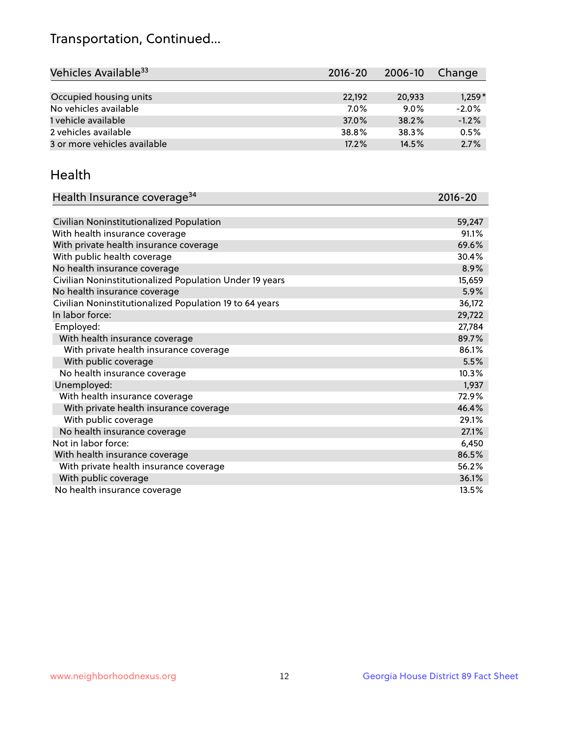## Transportation, Continued...

| Vehicles Available <sup>33</sup> | 2016-20 | 2006-10 | Change   |
|----------------------------------|---------|---------|----------|
|                                  |         |         |          |
| Occupied housing units           | 22,192  | 20,933  | $1,259*$ |
| No vehicles available            | 7.0%    | $9.0\%$ | $-2.0%$  |
| 1 vehicle available              | 37.0%   | 38.2%   | $-1.2%$  |
| 2 vehicles available             | 38.8%   | 38.3%   | 0.5%     |
| 3 or more vehicles available     | 17.2%   | 14.5%   | 2.7%     |

#### Health

| Health Insurance coverage <sup>34</sup>                 | 2016-20 |
|---------------------------------------------------------|---------|
|                                                         |         |
| Civilian Noninstitutionalized Population                | 59,247  |
| With health insurance coverage                          | 91.1%   |
| With private health insurance coverage                  | 69.6%   |
| With public health coverage                             | 30.4%   |
| No health insurance coverage                            | 8.9%    |
| Civilian Noninstitutionalized Population Under 19 years | 15,659  |
| No health insurance coverage                            | 5.9%    |
| Civilian Noninstitutionalized Population 19 to 64 years | 36,172  |
| In labor force:                                         | 29,722  |
| Employed:                                               | 27,784  |
| With health insurance coverage                          | 89.7%   |
| With private health insurance coverage                  | 86.1%   |
| With public coverage                                    | 5.5%    |
| No health insurance coverage                            | 10.3%   |
| Unemployed:                                             | 1,937   |
| With health insurance coverage                          | 72.9%   |
| With private health insurance coverage                  | 46.4%   |
| With public coverage                                    | 29.1%   |
| No health insurance coverage                            | 27.1%   |
| Not in labor force:                                     | 6,450   |
| With health insurance coverage                          | 86.5%   |
| With private health insurance coverage                  | 56.2%   |
| With public coverage                                    | 36.1%   |
| No health insurance coverage                            | 13.5%   |